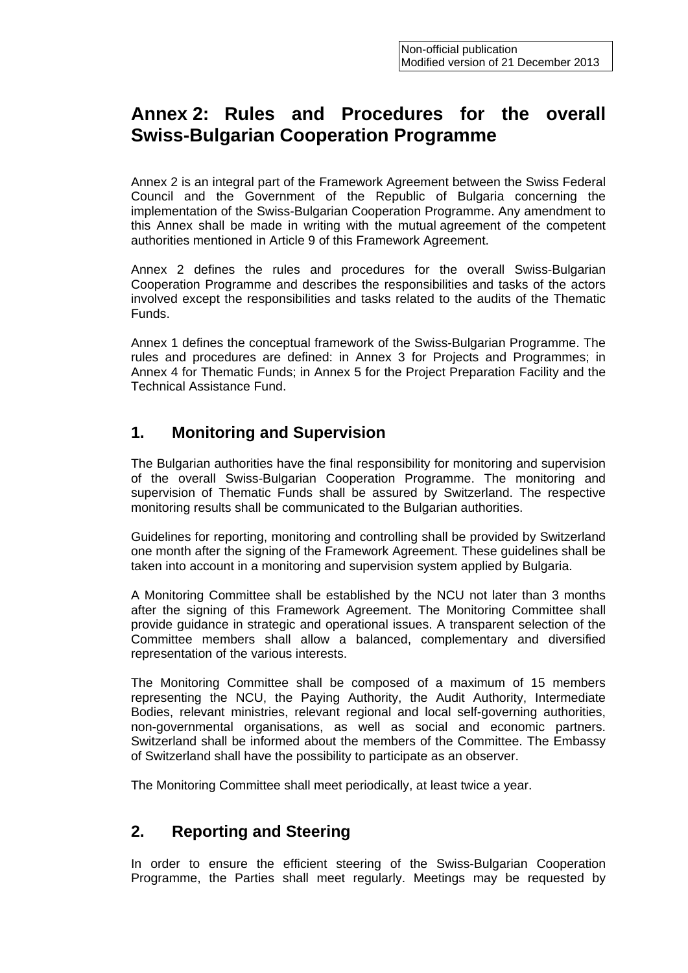# **Annex 2: Rules and Procedures for the overall Swiss-Bulgarian Cooperation Programme**

Annex 2 is an integral part of the Framework Agreement between the Swiss Federal Council and the Government of the Republic of Bulgaria concerning the implementation of the Swiss-Bulgarian Cooperation Programme. Any amendment to this Annex shall be made in writing with the mutual agreement of the competent authorities mentioned in Article 9 of this Framework Agreement.

Annex 2 defines the rules and procedures for the overall Swiss-Bulgarian Cooperation Programme and describes the responsibilities and tasks of the actors involved except the responsibilities and tasks related to the audits of the Thematic Funds.

Annex 1 defines the conceptual framework of the Swiss-Bulgarian Programme. The rules and procedures are defined: in Annex 3 for Projects and Programmes; in Annex 4 for Thematic Funds; in Annex 5 for the Project Preparation Facility and the Technical Assistance Fund.

### **1. Monitoring and Supervision**

The Bulgarian authorities have the final responsibility for monitoring and supervision of the overall Swiss-Bulgarian Cooperation Programme. The monitoring and supervision of Thematic Funds shall be assured by Switzerland. The respective monitoring results shall be communicated to the Bulgarian authorities.

Guidelines for reporting, monitoring and controlling shall be provided by Switzerland one month after the signing of the Framework Agreement. These guidelines shall be taken into account in a monitoring and supervision system applied by Bulgaria.

A Monitoring Committee shall be established by the NCU not later than 3 months after the signing of this Framework Agreement. The Monitoring Committee shall provide guidance in strategic and operational issues. A transparent selection of the Committee members shall allow a balanced, complementary and diversified representation of the various interests.

The Monitoring Committee shall be composed of a maximum of 15 members representing the NCU, the Paying Authority, the Audit Authority, Intermediate Bodies, relevant ministries, relevant regional and local self-governing authorities, non-governmental organisations, as well as social and economic partners. Switzerland shall be informed about the members of the Committee. The Embassy of Switzerland shall have the possibility to participate as an observer.

The Monitoring Committee shall meet periodically, at least twice a year.

# **2. Reporting and Steering**

In order to ensure the efficient steering of the Swiss-Bulgarian Cooperation Programme, the Parties shall meet regularly. Meetings may be requested by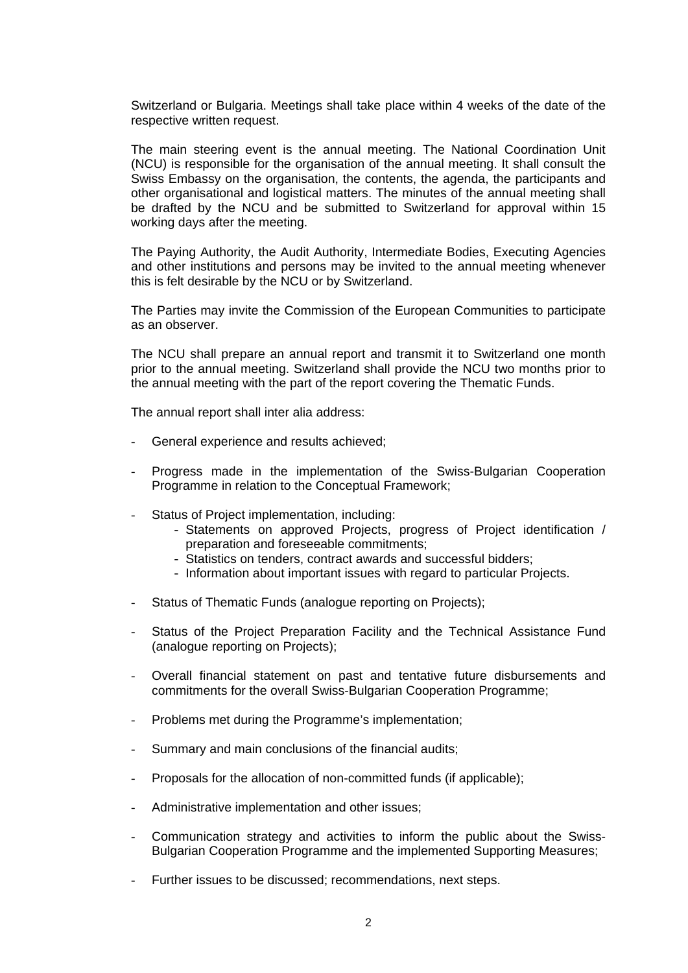Switzerland or Bulgaria. Meetings shall take place within 4 weeks of the date of the respective written request.

The main steering event is the annual meeting. The National Coordination Unit (NCU) is responsible for the organisation of the annual meeting. It shall consult the Swiss Embassy on the organisation, the contents, the agenda, the participants and other organisational and logistical matters. The minutes of the annual meeting shall be drafted by the NCU and be submitted to Switzerland for approval within 15 working days after the meeting.

The Paying Authority, the Audit Authority, Intermediate Bodies, Executing Agencies and other institutions and persons may be invited to the annual meeting whenever this is felt desirable by the NCU or by Switzerland.

The Parties may invite the Commission of the European Communities to participate as an observer.

The NCU shall prepare an annual report and transmit it to Switzerland one month prior to the annual meeting. Switzerland shall provide the NCU two months prior to the annual meeting with the part of the report covering the Thematic Funds.

The annual report shall inter alia address:

- General experience and results achieved;
- Progress made in the implementation of the Swiss-Bulgarian Cooperation Programme in relation to the Conceptual Framework;
- Status of Project implementation, including:
	- Statements on approved Projects, progress of Project identification / preparation and foreseeable commitments;
	- Statistics on tenders, contract awards and successful bidders;
	- Information about important issues with regard to particular Projects.
- Status of Thematic Funds (analogue reporting on Projects);
- Status of the Project Preparation Facility and the Technical Assistance Fund (analogue reporting on Projects);
- Overall financial statement on past and tentative future disbursements and commitments for the overall Swiss-Bulgarian Cooperation Programme;
- Problems met during the Programme's implementation;
- Summary and main conclusions of the financial audits;
- Proposals for the allocation of non-committed funds (if applicable);
- Administrative implementation and other issues;
- Communication strategy and activities to inform the public about the Swiss-Bulgarian Cooperation Programme and the implemented Supporting Measures;
- Further issues to be discussed; recommendations, next steps.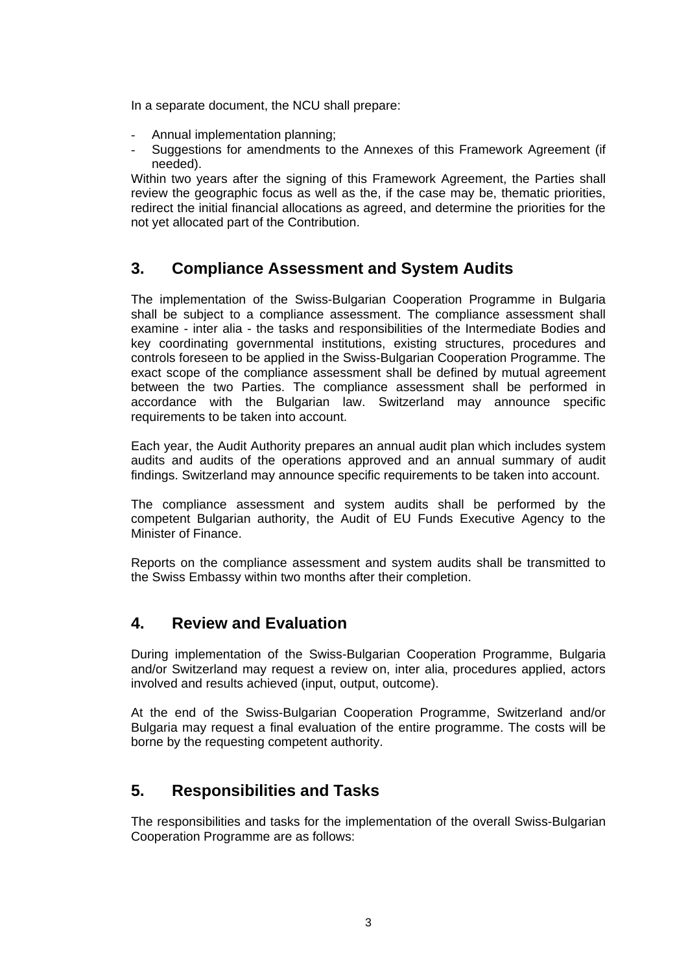In a separate document, the NCU shall prepare:

- Annual implementation planning;
- Suggestions for amendments to the Annexes of this Framework Agreement (if needed).

Within two years after the signing of this Framework Agreement, the Parties shall review the geographic focus as well as the, if the case may be, thematic priorities, redirect the initial financial allocations as agreed, and determine the priorities for the not yet allocated part of the Contribution.

### **3. Compliance Assessment and System Audits**

The implementation of the Swiss-Bulgarian Cooperation Programme in Bulgaria shall be subject to a compliance assessment. The compliance assessment shall examine - inter alia - the tasks and responsibilities of the Intermediate Bodies and key coordinating governmental institutions, existing structures, procedures and controls foreseen to be applied in the Swiss-Bulgarian Cooperation Programme. The exact scope of the compliance assessment shall be defined by mutual agreement between the two Parties. The compliance assessment shall be performed in accordance with the Bulgarian law. Switzerland may announce specific requirements to be taken into account.

Each year, the Audit Authority prepares an annual audit plan which includes system audits and audits of the operations approved and an annual summary of audit findings. Switzerland may announce specific requirements to be taken into account.

The compliance assessment and system audits shall be performed by the competent Bulgarian authority, the Audit of EU Funds Executive Agency to the Minister of Finance.

Reports on the compliance assessment and system audits shall be transmitted to the Swiss Embassy within two months after their completion.

# **4. Review and Evaluation**

During implementation of the Swiss-Bulgarian Cooperation Programme, Bulgaria and/or Switzerland may request a review on, inter alia, procedures applied, actors involved and results achieved (input, output, outcome).

At the end of the Swiss-Bulgarian Cooperation Programme, Switzerland and/or Bulgaria may request a final evaluation of the entire programme. The costs will be borne by the requesting competent authority.

# **5. Responsibilities and Tasks**

The responsibilities and tasks for the implementation of the overall Swiss-Bulgarian Cooperation Programme are as follows: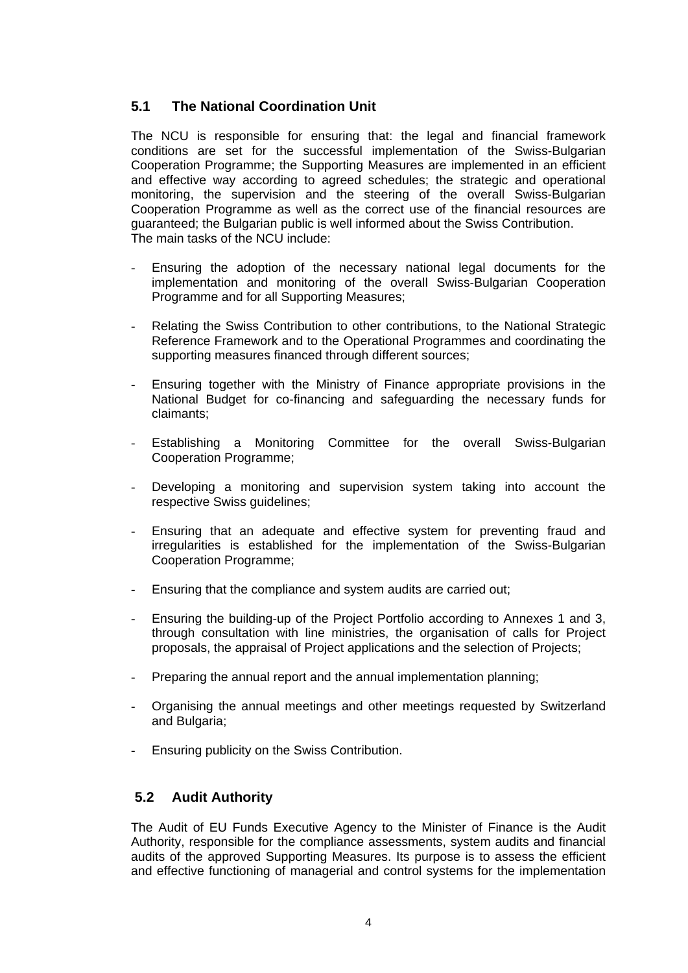### **5.1 The National Coordination Unit**

The NCU is responsible for ensuring that: the legal and financial framework conditions are set for the successful implementation of the Swiss-Bulgarian Cooperation Programme; the Supporting Measures are implemented in an efficient and effective way according to agreed schedules; the strategic and operational monitoring, the supervision and the steering of the overall Swiss-Bulgarian Cooperation Programme as well as the correct use of the financial resources are guaranteed; the Bulgarian public is well informed about the Swiss Contribution. The main tasks of the NCU include:

- Ensuring the adoption of the necessary national legal documents for the implementation and monitoring of the overall Swiss-Bulgarian Cooperation Programme and for all Supporting Measures;
- Relating the Swiss Contribution to other contributions, to the National Strategic Reference Framework and to the Operational Programmes and coordinating the supporting measures financed through different sources;
- Ensuring together with the Ministry of Finance appropriate provisions in the National Budget for co-financing and safeguarding the necessary funds for claimants;
- Establishing a Monitoring Committee for the overall Swiss-Bulgarian Cooperation Programme;
- Developing a monitoring and supervision system taking into account the respective Swiss guidelines;
- Ensuring that an adequate and effective system for preventing fraud and irregularities is established for the implementation of the Swiss-Bulgarian Cooperation Programme;
- Ensuring that the compliance and system audits are carried out;
- Ensuring the building-up of the Project Portfolio according to Annexes 1 and 3, through consultation with line ministries, the organisation of calls for Project proposals, the appraisal of Project applications and the selection of Projects;
- Preparing the annual report and the annual implementation planning:
- Organising the annual meetings and other meetings requested by Switzerland and Bulgaria;
- Ensuring publicity on the Swiss Contribution.

### **5.2 Audit Authority**

The Audit of EU Funds Executive Agency to the Minister of Finance is the Audit Authority, responsible for the compliance assessments, system audits and financial audits of the approved Supporting Measures. Its purpose is to assess the efficient and effective functioning of managerial and control systems for the implementation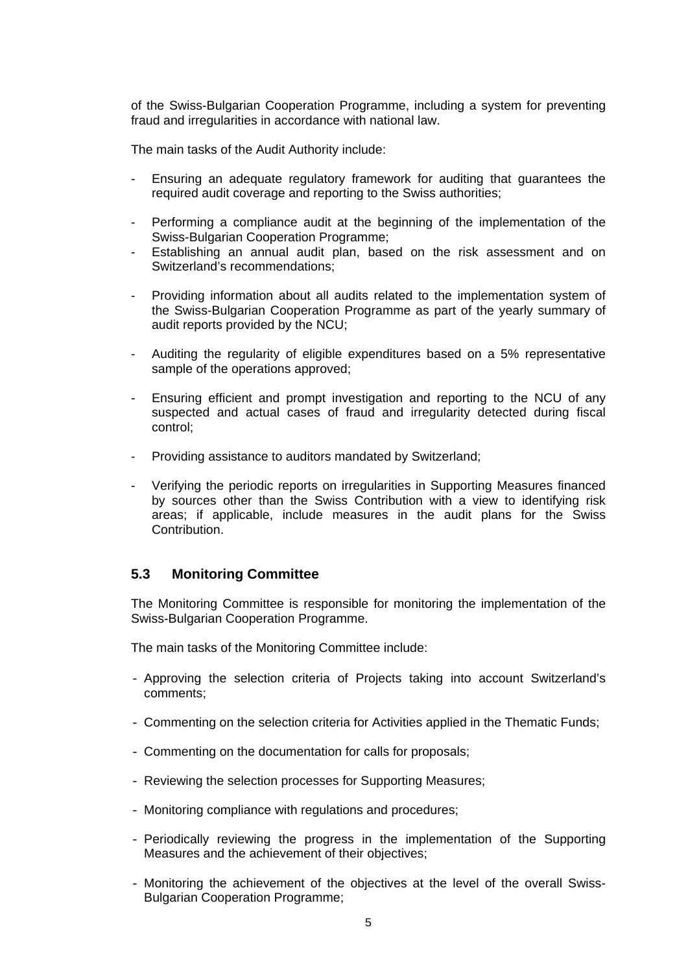of the Swiss-Bulgarian Cooperation Programme, including a system for preventing fraud and irregularities in accordance with national law.

The main tasks of the Audit Authority include:

- Ensuring an adequate regulatory framework for auditing that guarantees the required audit coverage and reporting to the Swiss authorities;
- Performing a compliance audit at the beginning of the implementation of the Swiss-Bulgarian Cooperation Programme;
- Establishing an annual audit plan, based on the risk assessment and on Switzerland's recommendations;
- Providing information about all audits related to the implementation system of the Swiss-Bulgarian Cooperation Programme as part of the yearly summary of audit reports provided by the NCU;
- Auditing the regularity of eligible expenditures based on a 5% representative sample of the operations approved;
- Ensuring efficient and prompt investigation and reporting to the NCU of any suspected and actual cases of fraud and irregularity detected during fiscal control;
- Providing assistance to auditors mandated by Switzerland;
- Verifying the periodic reports on irregularities in Supporting Measures financed by sources other than the Swiss Contribution with a view to identifying risk areas; if applicable, include measures in the audit plans for the Swiss **Contribution**

### **5.3 Monitoring Committee**

The Monitoring Committee is responsible for monitoring the implementation of the Swiss-Bulgarian Cooperation Programme.

The main tasks of the Monitoring Committee include:

- Approving the selection criteria of Projects taking into account Switzerland's comments;
- Commenting on the selection criteria for Activities applied in the Thematic Funds;
- Commenting on the documentation for calls for proposals;
- Reviewing the selection processes for Supporting Measures;
- Monitoring compliance with regulations and procedures;
- Periodically reviewing the progress in the implementation of the Supporting Measures and the achievement of their objectives;
- Monitoring the achievement of the objectives at the level of the overall Swiss-Bulgarian Cooperation Programme;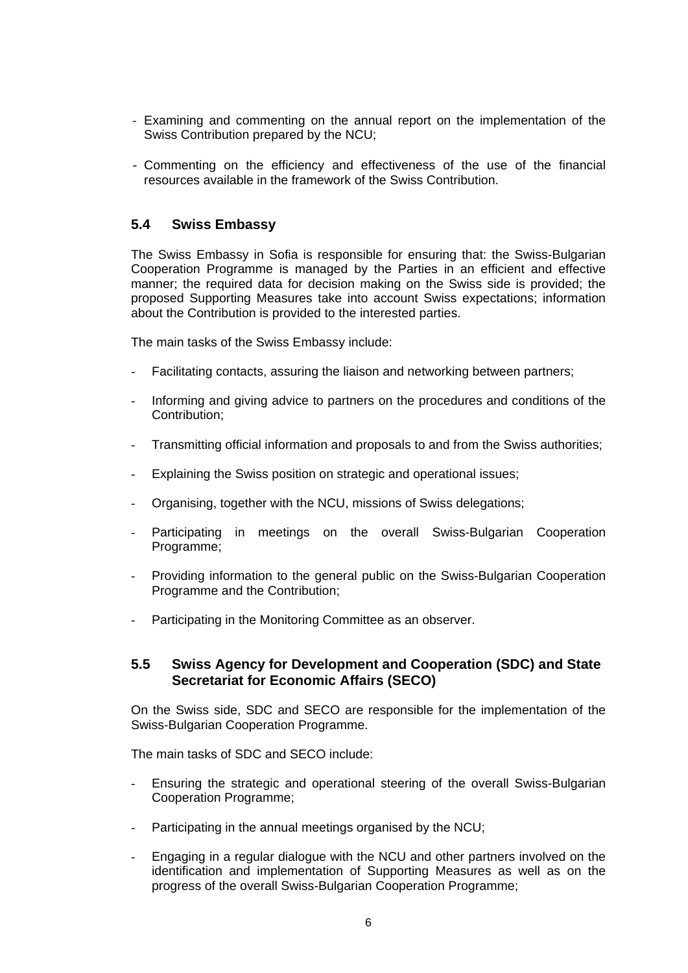- Examining and commenting on the annual report on the implementation of the Swiss Contribution prepared by the NCU;
- Commenting on the efficiency and effectiveness of the use of the financial resources available in the framework of the Swiss Contribution.

#### **5.4 Swiss Embassy**

The Swiss Embassy in Sofia is responsible for ensuring that: the Swiss-Bulgarian Cooperation Programme is managed by the Parties in an efficient and effective manner; the required data for decision making on the Swiss side is provided; the proposed Supporting Measures take into account Swiss expectations; information about the Contribution is provided to the interested parties.

The main tasks of the Swiss Embassy include:

- Facilitating contacts, assuring the liaison and networking between partners;
- Informing and giving advice to partners on the procedures and conditions of the Contribution;
- Transmitting official information and proposals to and from the Swiss authorities;
- Explaining the Swiss position on strategic and operational issues;
- Organising, together with the NCU, missions of Swiss delegations;
- Participating in meetings on the overall Swiss-Bulgarian Cooperation Programme;
- Providing information to the general public on the Swiss-Bulgarian Cooperation Programme and the Contribution;
- Participating in the Monitoring Committee as an observer.

### **5.5 Swiss Agency for Development and Cooperation (SDC) and State Secretariat for Economic Affairs (SECO)**

On the Swiss side, SDC and SECO are responsible for the implementation of the Swiss-Bulgarian Cooperation Programme.

The main tasks of SDC and SECO include:

- Ensuring the strategic and operational steering of the overall Swiss-Bulgarian Cooperation Programme;
- Participating in the annual meetings organised by the NCU;
- Engaging in a regular dialogue with the NCU and other partners involved on the identification and implementation of Supporting Measures as well as on the progress of the overall Swiss-Bulgarian Cooperation Programme;